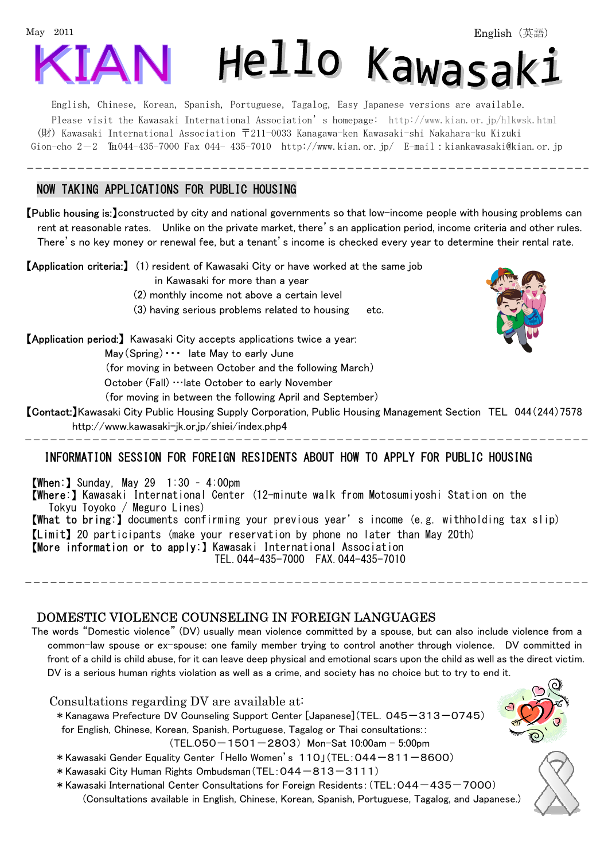

English, Chinese, Korean, Spanish, Portuguese, Tagalog, Easy Japanese versions are available. Please visit the Kawasaki International Association's homepage: <http://www.kian.or.jp/hlkwsk.html> (財) Kawasaki International Association 〒211-0033 Kanagawa-ken Kawasaki-shi Nakahara-ku Kizuki Gion-cho  $2-2$   $\text{Im}044-435-7000$  Fax 044- 435-7010 <http://www.kian.or.jp/>E-mail:kiankawasaki@kian.or.jp

## NOW TAKING APPLICATIONS FOR PUBLIC HOUSING

Ī

 $\overline{\phantom{a}}$ 

Ī

【Public housing is:】constructed by city and national governments so that low-income people with housing problems can rent at reasonable rates. Unlike on the private market, there's an application period, income criteria and other rules. There's no key money or renewal fee, but a tenant's income is checked every year to determine their rental rate.

【Application criteria:】 (1) resident of Kawasaki City or have worked at the same job

in Kawasaki for more than a year

(2) monthly income not above a certain level

(3) having serious problems related to housing etc.

【Application period:】 Kawasaki City accepts applications twice a year:

 $May(Spring) \cdots$  late May to early June

(for moving in between October and the following March)

October (Fall) …late October to early November

(for moving in between the following April and September)

【Contact:】Kawasaki City Public Housing Supply Corporation, Public Housing Management Section TEL 044(244)7578 [http://www.kawasaki-jk.or.jp/shiei/index.php4](http://www.kawasaki-jk.or.jp/shiei/) 

# INFORMATION SESSION FOR FOREIGN RESIDENTS ABOUT HOW TO APPLY FOR PUBLIC HOUSING

**[When:** ] Sunday, May 29  $1:30 - 4:00 \text{pm}$ 【Where:】Kawasaki International Center (12-minute walk from Motosumiyoshi Station on the Tokyu Toyoko / Meguro Lines) 【What to bring:】documents confirming your previous year's income (e.g. withholding tax slip) 【Limit】20 participants (make your reservation by phone no later than May 20th) 【More information or to apply:】Kawasaki International Association TEL.044-435-7000 FAX.044-435-7010

### DOMESTIC VIOLENCE COUNSELING IN FOREIGN LANGUAGES

The words "Domestic violence" (DV) usually mean violence committed by a spouse, but can also include violence from a common-law spouse or ex-spouse: one family member trying to control another through violence. DV committed in front of a child is child abuse, for it can leave deep physical and emotional scars upon the child as well as the direct victim. DV is a serious human rights violation as well as a crime, and society has no choice but to try to end it.



- \*Kawasaki Gender Equality Center 「Hello Women's 110」(TEL:044-811-8600)
- \*Kawasaki City Human Rights Ombudsman(TEL:044-813-3111)
- \*Kawasaki International Center Consultations for Foreign Residents:(TEL:044-435-7000)

(Consultations available in English, Chinese, Korean, Spanish, Portuguese, Tagalog, and Japanese.)